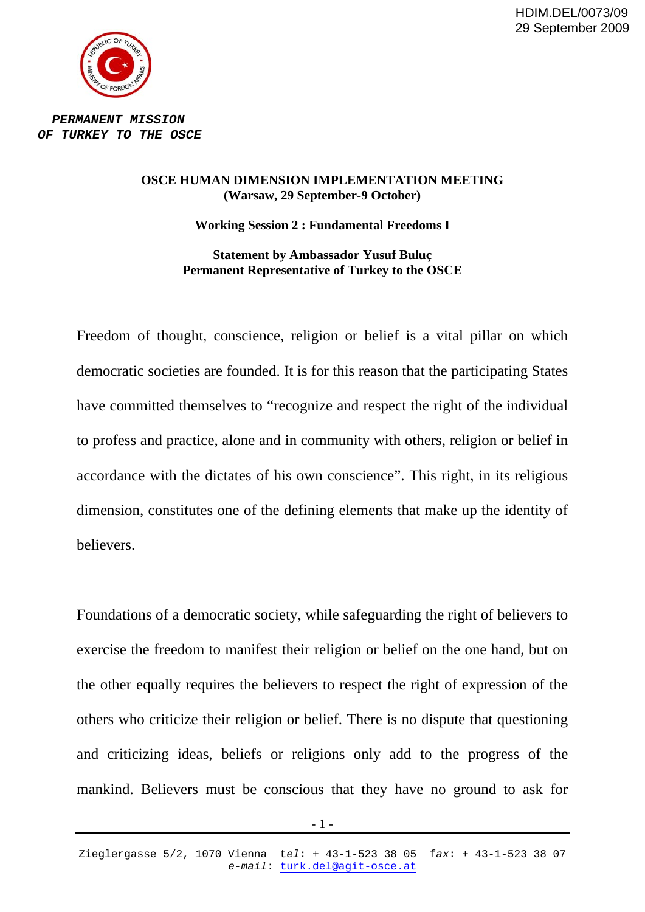HDIM.DEL/0073/09 29 September 2009



*PERMANENT MISSION OF TURKEY TO THE OSCE* 

## **OSCE HUMAN DIMENSION IMPLEMENTATION MEETING (Warsaw, 29 September-9 October)**

**Working Session 2 : Fundamental Freedoms I** 

**Statement by Ambassador Yusuf Buluç Permanent Representative of Turkey to the OSCE** 

Freedom of thought, conscience, religion or belief is a vital pillar on which democratic societies are founded. It is for this reason that the participating States have committed themselves to "recognize and respect the right of the individual to profess and practice, alone and in community with others, religion or belief in accordance with the dictates of his own conscience". This right, in its religious dimension, constitutes one of the defining elements that make up the identity of believers.

Foundations of a democratic society, while safeguarding the right of believers to exercise the freedom to manifest their religion or belief on the one hand, but on the other equally requires the believers to respect the right of expression of the others who criticize their religion or belief. There is no dispute that questioning and criticizing ideas, beliefs or religions only add to the progress of the mankind. Believers must be conscious that they have no ground to ask for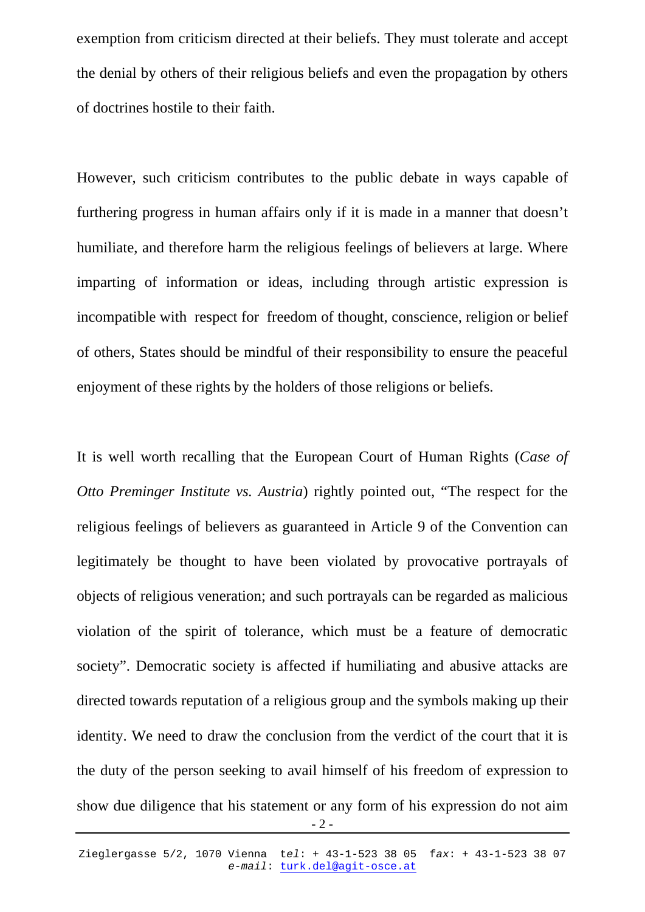exemption from criticism directed at their beliefs. They must tolerate and accept the denial by others of their religious beliefs and even the propagation by others of doctrines hostile to their faith.

However, such criticism contributes to the public debate in ways capable of furthering progress in human affairs only if it is made in a manner that doesn't humiliate, and therefore harm the religious feelings of believers at large. Where imparting of information or ideas, including through artistic expression is incompatible with respect for freedom of thought, conscience, religion or belief of others, States should be mindful of their responsibility to ensure the peaceful enjoyment of these rights by the holders of those religions or beliefs.

It is well worth recalling that the European Court of Human Rights (*Case of Otto Preminger Institute vs. Austria*) rightly pointed out, "The respect for the religious feelings of believers as guaranteed in Article 9 of the Convention can legitimately be thought to have been violated by provocative portrayals of objects of religious veneration; and such portrayals can be regarded as malicious violation of the spirit of tolerance, which must be a feature of democratic society". Democratic society is affected if humiliating and abusive attacks are directed towards reputation of a religious group and the symbols making up their identity. We need to draw the conclusion from the verdict of the court that it is the duty of the person seeking to avail himself of his freedom of expression to show due diligence that his statement or any form of his expression do not aim

 $-2-$